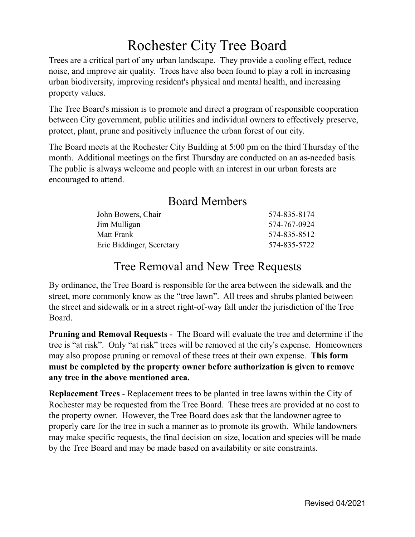## Rochester City Tree Board

Trees are a critical part of any urban landscape. They provide a cooling effect, reduce noise, and improve air quality. Trees have also been found to play a roll in increasing urban biodiversity, improving resident's physical and mental health, and increasing property values.

The Tree Board's mission is to promote and direct a program of responsible cooperation between City government, public utilities and individual owners to effectively preserve, protect, plant, prune and positively influence the urban forest of our city.

The Board meets at the Rochester City Building at 5:00 pm on the third Thursday of the month. Additional meetings on the first Thursday are conducted on an as-needed basis. The public is always welcome and people with an interest in our urban forests are encouraged to attend.

## Board Members

| John Bowers, Chair        | 574-835-8174 |
|---------------------------|--------------|
| Jim Mulligan              | 574-767-0924 |
| Matt Frank                | 574-835-8512 |
| Eric Biddinger, Secretary | 574-835-5722 |

## Tree Removal and New Tree Requests

By ordinance, the Tree Board is responsible for the area between the sidewalk and the street, more commonly know as the "tree lawn". All trees and shrubs planted between the street and sidewalk or in a street right-of-way fall under the jurisdiction of the Tree Board.

**Pruning and Removal Requests** - The Board will evaluate the tree and determine if the tree is "at risk". Only "at risk" trees will be removed at the city's expense. Homeowners may also propose pruning or removal of these trees at their own expense. **This form must be completed by the property owner before authorization is given to remove any tree in the above mentioned area.**

**Replacement Trees** - Replacement trees to be planted in tree lawns within the City of Rochester may be requested from the Tree Board. These trees are provided at no cost to the property owner. However, the Tree Board does ask that the landowner agree to properly care for the tree in such a manner as to promote its growth. While landowners may make specific requests, the final decision on size, location and species will be made by the Tree Board and may be made based on availability or site constraints.